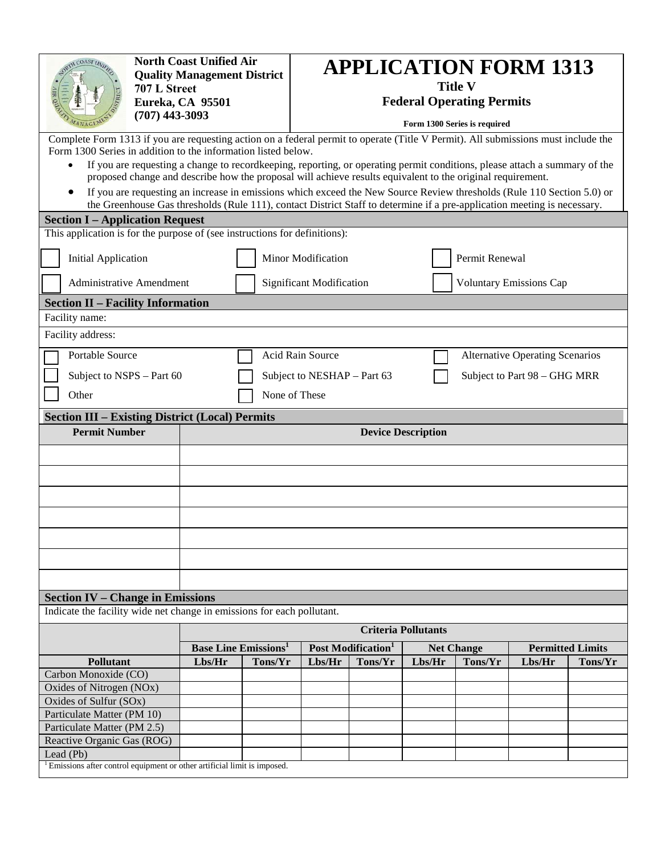| COAST UN                                                                                                                          | <b>North Coast Unified Air</b><br><b>Quality Management District</b><br>707 L Street<br>Eureka, CA 95501<br>$(707)$ 443-3093 |                                                                                                                            | <b>APPLICATION FORM 1313</b><br><b>Title V</b><br><b>Federal Operating Permits</b><br>Form 1300 Series is required |                                 |         |                   |                |                                        |         |  |
|-----------------------------------------------------------------------------------------------------------------------------------|------------------------------------------------------------------------------------------------------------------------------|----------------------------------------------------------------------------------------------------------------------------|--------------------------------------------------------------------------------------------------------------------|---------------------------------|---------|-------------------|----------------|----------------------------------------|---------|--|
| Complete Form 1313 if you are requesting action on a federal permit to operate (Title V Permit). All submissions must include the |                                                                                                                              |                                                                                                                            |                                                                                                                    |                                 |         |                   |                |                                        |         |  |
| Form 1300 Series in addition to the information listed below.                                                                     |                                                                                                                              |                                                                                                                            |                                                                                                                    |                                 |         |                   |                |                                        |         |  |
| $\bullet$                                                                                                                         |                                                                                                                              | If you are requesting a change to recordkeeping, reporting, or operating permit conditions, please attach a summary of the |                                                                                                                    |                                 |         |                   |                |                                        |         |  |
|                                                                                                                                   |                                                                                                                              | proposed change and describe how the proposal will achieve results equivalent to the original requirement.                 |                                                                                                                    |                                 |         |                   |                |                                        |         |  |
|                                                                                                                                   |                                                                                                                              | If you are requesting an increase in emissions which exceed the New Source Review thresholds (Rule 110 Section 5.0) or     |                                                                                                                    |                                 |         |                   |                |                                        |         |  |
|                                                                                                                                   |                                                                                                                              | the Greenhouse Gas thresholds (Rule 111), contact District Staff to determine if a pre-application meeting is necessary.   |                                                                                                                    |                                 |         |                   |                |                                        |         |  |
| <b>Section I – Application Request</b>                                                                                            |                                                                                                                              |                                                                                                                            |                                                                                                                    |                                 |         |                   |                |                                        |         |  |
| This application is for the purpose of (see instructions for definitions):                                                        |                                                                                                                              |                                                                                                                            |                                                                                                                    |                                 |         |                   |                |                                        |         |  |
| <b>Initial Application</b>                                                                                                        |                                                                                                                              |                                                                                                                            |                                                                                                                    | <b>Minor Modification</b>       |         |                   | Permit Renewal |                                        |         |  |
| <b>Administrative Amendment</b>                                                                                                   |                                                                                                                              |                                                                                                                            |                                                                                                                    | <b>Significant Modification</b> |         |                   |                | <b>Voluntary Emissions Cap</b>         |         |  |
| <b>Section II - Facility Information</b>                                                                                          |                                                                                                                              |                                                                                                                            |                                                                                                                    |                                 |         |                   |                |                                        |         |  |
| Facility name:                                                                                                                    |                                                                                                                              |                                                                                                                            |                                                                                                                    |                                 |         |                   |                |                                        |         |  |
| Facility address:                                                                                                                 |                                                                                                                              |                                                                                                                            |                                                                                                                    |                                 |         |                   |                |                                        |         |  |
|                                                                                                                                   |                                                                                                                              |                                                                                                                            |                                                                                                                    | <b>Acid Rain Source</b>         |         |                   |                |                                        |         |  |
| <b>Portable Source</b>                                                                                                            |                                                                                                                              |                                                                                                                            |                                                                                                                    |                                 |         |                   |                | <b>Alternative Operating Scenarios</b> |         |  |
| Subject to NSPS - Part 60                                                                                                         |                                                                                                                              |                                                                                                                            |                                                                                                                    | Subject to NESHAP - Part 63     |         |                   |                | Subject to Part 98 - GHG MRR           |         |  |
| Other                                                                                                                             |                                                                                                                              |                                                                                                                            | None of These                                                                                                      |                                 |         |                   |                |                                        |         |  |
|                                                                                                                                   |                                                                                                                              |                                                                                                                            |                                                                                                                    |                                 |         |                   |                |                                        |         |  |
| <b>Section III - Existing District (Local) Permits</b>                                                                            |                                                                                                                              |                                                                                                                            |                                                                                                                    |                                 |         |                   |                |                                        |         |  |
| <b>Permit Number</b>                                                                                                              |                                                                                                                              | <b>Device Description</b>                                                                                                  |                                                                                                                    |                                 |         |                   |                |                                        |         |  |
|                                                                                                                                   |                                                                                                                              |                                                                                                                            |                                                                                                                    |                                 |         |                   |                |                                        |         |  |
|                                                                                                                                   |                                                                                                                              |                                                                                                                            |                                                                                                                    |                                 |         |                   |                |                                        |         |  |
|                                                                                                                                   |                                                                                                                              |                                                                                                                            |                                                                                                                    |                                 |         |                   |                |                                        |         |  |
|                                                                                                                                   |                                                                                                                              |                                                                                                                            |                                                                                                                    |                                 |         |                   |                |                                        |         |  |
|                                                                                                                                   |                                                                                                                              |                                                                                                                            |                                                                                                                    |                                 |         |                   |                |                                        |         |  |
|                                                                                                                                   |                                                                                                                              |                                                                                                                            |                                                                                                                    |                                 |         |                   |                |                                        |         |  |
|                                                                                                                                   |                                                                                                                              |                                                                                                                            |                                                                                                                    |                                 |         |                   |                |                                        |         |  |
|                                                                                                                                   |                                                                                                                              |                                                                                                                            |                                                                                                                    |                                 |         |                   |                |                                        |         |  |
|                                                                                                                                   |                                                                                                                              |                                                                                                                            |                                                                                                                    |                                 |         |                   |                |                                        |         |  |
|                                                                                                                                   |                                                                                                                              |                                                                                                                            |                                                                                                                    |                                 |         |                   |                |                                        |         |  |
| <b>Section IV – Change in Emissions</b>                                                                                           |                                                                                                                              |                                                                                                                            |                                                                                                                    |                                 |         |                   |                |                                        |         |  |
|                                                                                                                                   | Indicate the facility wide net change in emissions for each pollutant.                                                       |                                                                                                                            |                                                                                                                    |                                 |         |                   |                |                                        |         |  |
|                                                                                                                                   |                                                                                                                              | <b>Criteria Pollutants</b>                                                                                                 |                                                                                                                    |                                 |         |                   |                |                                        |         |  |
|                                                                                                                                   |                                                                                                                              | <b>Base Line Emissions</b>                                                                                                 |                                                                                                                    | Post Modification <sup>1</sup>  |         | <b>Net Change</b> |                | <b>Permitted Limits</b>                |         |  |
| <b>Pollutant</b>                                                                                                                  |                                                                                                                              | Lbs/Hr                                                                                                                     | Tons/Yr                                                                                                            | Lbs/Her                         | Tons/Yr | Lbs/Her           | Tons/Yr        | Lbs/Her                                | Tons/Yr |  |
| Carbon Monoxide (CO)                                                                                                              |                                                                                                                              |                                                                                                                            |                                                                                                                    |                                 |         |                   |                |                                        |         |  |
| Oxides of Nitrogen (NOx)                                                                                                          |                                                                                                                              |                                                                                                                            |                                                                                                                    |                                 |         |                   |                |                                        |         |  |
| Oxides of Sulfur (SOx)<br>Particulate Matter (PM 10)                                                                              |                                                                                                                              |                                                                                                                            |                                                                                                                    |                                 |         |                   |                |                                        |         |  |
| Particulate Matter (PM 2.5)                                                                                                       |                                                                                                                              |                                                                                                                            |                                                                                                                    |                                 |         |                   |                |                                        |         |  |
| Reactive Organic Gas (ROG)                                                                                                        |                                                                                                                              |                                                                                                                            |                                                                                                                    |                                 |         |                   |                |                                        |         |  |
| Lead (Pb)                                                                                                                         |                                                                                                                              |                                                                                                                            |                                                                                                                    |                                 |         |                   |                |                                        |         |  |
| <sup>1</sup> Emissions after control equipment or other artificial limit is imposed.                                              |                                                                                                                              |                                                                                                                            |                                                                                                                    |                                 |         |                   |                |                                        |         |  |
|                                                                                                                                   |                                                                                                                              |                                                                                                                            |                                                                                                                    |                                 |         |                   |                |                                        |         |  |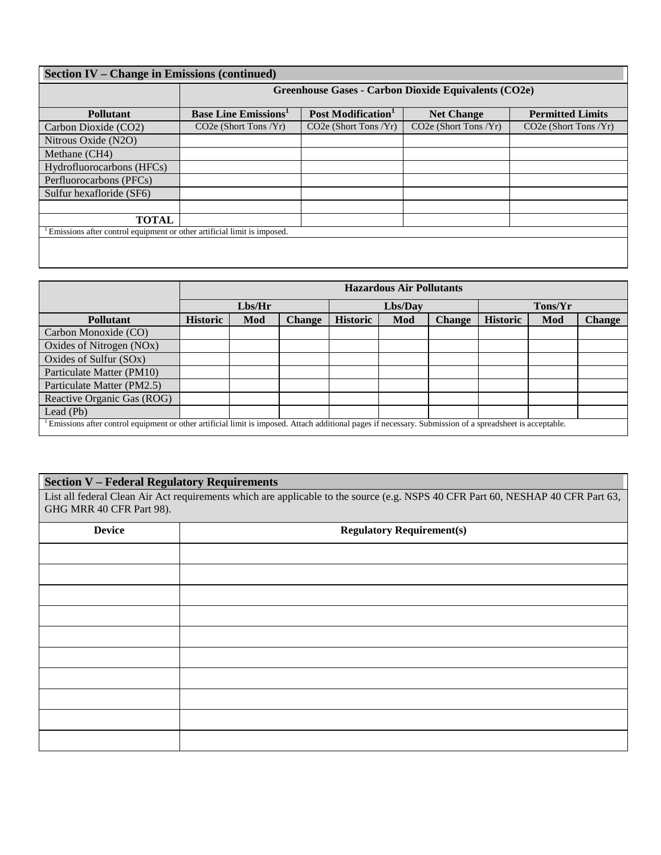| <b>Section IV – Change in Emissions (continued)</b>                     |                                                      |                                |                         |                                    |  |  |  |  |
|-------------------------------------------------------------------------|------------------------------------------------------|--------------------------------|-------------------------|------------------------------------|--|--|--|--|
|                                                                         | Greenhouse Gases - Carbon Dioxide Equivalents (CO2e) |                                |                         |                                    |  |  |  |  |
| <b>Pollutant</b>                                                        | <b>Base Line Emissions'</b>                          | Post Modification <sup>1</sup> | <b>Net Change</b>       | <b>Permitted Limits</b>            |  |  |  |  |
| Carbon Dioxide (CO2)                                                    | $CO2e$ (Short Tons /Yr)                              | $CO2e$ (Short Tons $/Yr$ )     | $CO2e$ (Short Tons /Yr) | CO <sub>2</sub> e (Short Tons /Yr) |  |  |  |  |
| Nitrous Oxide (N2O)                                                     |                                                      |                                |                         |                                    |  |  |  |  |
| Methane (CH4)                                                           |                                                      |                                |                         |                                    |  |  |  |  |
| Hydrofluorocarbons (HFCs)                                               |                                                      |                                |                         |                                    |  |  |  |  |
| Perfluorocarbons (PFCs)                                                 |                                                      |                                |                         |                                    |  |  |  |  |
| Sulfur hexafloride (SF6)                                                |                                                      |                                |                         |                                    |  |  |  |  |
|                                                                         |                                                      |                                |                         |                                    |  |  |  |  |
| <b>TOTAL</b>                                                            |                                                      |                                |                         |                                    |  |  |  |  |
| Emissions after control equipment or other artificial limit is imposed. |                                                      |                                |                         |                                    |  |  |  |  |
|                                                                         |                                                      |                                |                         |                                    |  |  |  |  |

|                                                                                                                                                          | <b>Hazardous Air Pollutants</b> |     |               |                 |     |               |                 |     |               |
|----------------------------------------------------------------------------------------------------------------------------------------------------------|---------------------------------|-----|---------------|-----------------|-----|---------------|-----------------|-----|---------------|
|                                                                                                                                                          | Lbs/Her                         |     |               | Lbs/Day         |     |               | Tons/Yr         |     |               |
| <b>Pollutant</b>                                                                                                                                         | <b>Historic</b>                 | Mod | <b>Change</b> | <b>Historic</b> | Mod | <b>Change</b> | <b>Historic</b> | Mod | <b>Change</b> |
| Carbon Monoxide (CO)                                                                                                                                     |                                 |     |               |                 |     |               |                 |     |               |
| Oxides of Nitrogen (NOx)                                                                                                                                 |                                 |     |               |                 |     |               |                 |     |               |
| Oxides of Sulfur $(SOx)$                                                                                                                                 |                                 |     |               |                 |     |               |                 |     |               |
| Particulate Matter (PM10)                                                                                                                                |                                 |     |               |                 |     |               |                 |     |               |
| Particulate Matter (PM2.5)                                                                                                                               |                                 |     |               |                 |     |               |                 |     |               |
| Reactive Organic Gas (ROG)                                                                                                                               |                                 |     |               |                 |     |               |                 |     |               |
| Lead (Pb)                                                                                                                                                |                                 |     |               |                 |     |               |                 |     |               |
| Emissions after control equipment or other artificial limit is imposed. Attach additional pages if necessary. Submission of a spreadsheet is acceptable. |                                 |     |               |                 |     |               |                 |     |               |

## **Section V – Federal Regulatory Requirements**

List all federal Clean Air Act requirements which are applicable to the source (e.g. NSPS 40 CFR Part 60, NESHAP 40 CFR Part 63, GHG MRR 40 CFR Part 98).

| <b>Device</b> | <b>Regulatory Requirement(s)</b> |  |  |  |  |  |
|---------------|----------------------------------|--|--|--|--|--|
|               |                                  |  |  |  |  |  |
|               |                                  |  |  |  |  |  |
|               |                                  |  |  |  |  |  |
|               |                                  |  |  |  |  |  |
|               |                                  |  |  |  |  |  |
|               |                                  |  |  |  |  |  |
|               |                                  |  |  |  |  |  |
|               |                                  |  |  |  |  |  |
|               |                                  |  |  |  |  |  |
|               |                                  |  |  |  |  |  |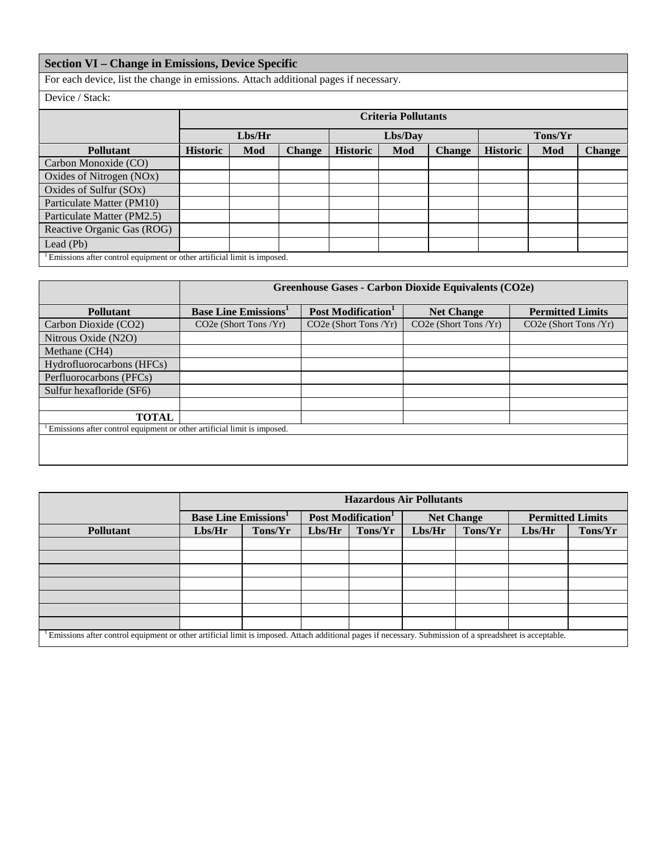## **Section VI – Change in Emissions, Device Specific**

For each device, list the change in emissions. Attach additional pages if necessary.

Device / Stack:

|                                                                         |                 | <b>Criteria Pollutants</b> |               |                 |     |               |                 |     |               |
|-------------------------------------------------------------------------|-----------------|----------------------------|---------------|-----------------|-----|---------------|-----------------|-----|---------------|
|                                                                         | Lbs/Her         |                            |               | Lbs/Day         |     |               | Tons/Yr         |     |               |
| <b>Pollutant</b>                                                        | <b>Historic</b> | Mod                        | <b>Change</b> | <b>Historic</b> | Mod | <b>Change</b> | <b>Historic</b> | Mod | <b>Change</b> |
| Carbon Monoxide (CO)                                                    |                 |                            |               |                 |     |               |                 |     |               |
| Oxides of Nitrogen (NOx)                                                |                 |                            |               |                 |     |               |                 |     |               |
| Oxides of Sulfur (SOx)                                                  |                 |                            |               |                 |     |               |                 |     |               |
| Particulate Matter (PM10)                                               |                 |                            |               |                 |     |               |                 |     |               |
| Particulate Matter (PM2.5)                                              |                 |                            |               |                 |     |               |                 |     |               |
| Reactive Organic Gas (ROG)                                              |                 |                            |               |                 |     |               |                 |     |               |
| Lead $(Pb)$                                                             |                 |                            |               |                 |     |               |                 |     |               |
| Emissions after control equipment or other artificial limit is imposed. |                 |                            |               |                 |     |               |                 |     |               |

|                                                                         | Greenhouse Gases - Carbon Dioxide Equivalents (CO2e) |                                |                                    |                         |  |  |  |  |
|-------------------------------------------------------------------------|------------------------------------------------------|--------------------------------|------------------------------------|-------------------------|--|--|--|--|
| <b>Pollutant</b>                                                        | <b>Base Line Emissions</b> <sup>1</sup>              | Post Modification <sup>1</sup> | <b>Net Change</b>                  | <b>Permitted Limits</b> |  |  |  |  |
| Carbon Dioxide (CO2)                                                    | $CO2e$ (Short Tons /Yr)                              | $CO2e$ (Short Tons /Yr)        | CO <sub>2</sub> e (Short Tons /Yr) | $CO2e$ (Short Tons /Yr) |  |  |  |  |
| Nitrous Oxide (N2O)                                                     |                                                      |                                |                                    |                         |  |  |  |  |
| Methane (CH4)                                                           |                                                      |                                |                                    |                         |  |  |  |  |
| Hydrofluorocarbons (HFCs)                                               |                                                      |                                |                                    |                         |  |  |  |  |
| Perfluorocarbons (PFCs)                                                 |                                                      |                                |                                    |                         |  |  |  |  |
| Sulfur hexafloride (SF6)                                                |                                                      |                                |                                    |                         |  |  |  |  |
|                                                                         |                                                      |                                |                                    |                         |  |  |  |  |
| <b>TOTAL</b>                                                            |                                                      |                                |                                    |                         |  |  |  |  |
| Emissions after control equipment or other artificial limit is imposed. |                                                      |                                |                                    |                         |  |  |  |  |
|                                                                         |                                                      |                                |                                    |                         |  |  |  |  |
|                                                                         |                                                      |                                |                                    |                         |  |  |  |  |

|                                                                                                                                                          | <b>Hazardous Air Pollutants</b> |  |                                |         |                   |         |                         |         |
|----------------------------------------------------------------------------------------------------------------------------------------------------------|---------------------------------|--|--------------------------------|---------|-------------------|---------|-------------------------|---------|
|                                                                                                                                                          | <b>Base Line Emissions</b>      |  | Post Modification <sup>1</sup> |         | <b>Net Change</b> |         | <b>Permitted Limits</b> |         |
| <b>Pollutant</b>                                                                                                                                         | Lbs/Her<br>Tons/Yr              |  | Lbs/Hr                         | Tons/Yr | Lbs/Her           | Tons/Yr | Lbs/Her                 | Tons/Yr |
|                                                                                                                                                          |                                 |  |                                |         |                   |         |                         |         |
|                                                                                                                                                          |                                 |  |                                |         |                   |         |                         |         |
|                                                                                                                                                          |                                 |  |                                |         |                   |         |                         |         |
|                                                                                                                                                          |                                 |  |                                |         |                   |         |                         |         |
|                                                                                                                                                          |                                 |  |                                |         |                   |         |                         |         |
|                                                                                                                                                          |                                 |  |                                |         |                   |         |                         |         |
|                                                                                                                                                          |                                 |  |                                |         |                   |         |                         |         |
| Emissions after control equipment or other artificial limit is imposed. Attach additional pages if necessary. Submission of a spreadsheet is acceptable. |                                 |  |                                |         |                   |         |                         |         |